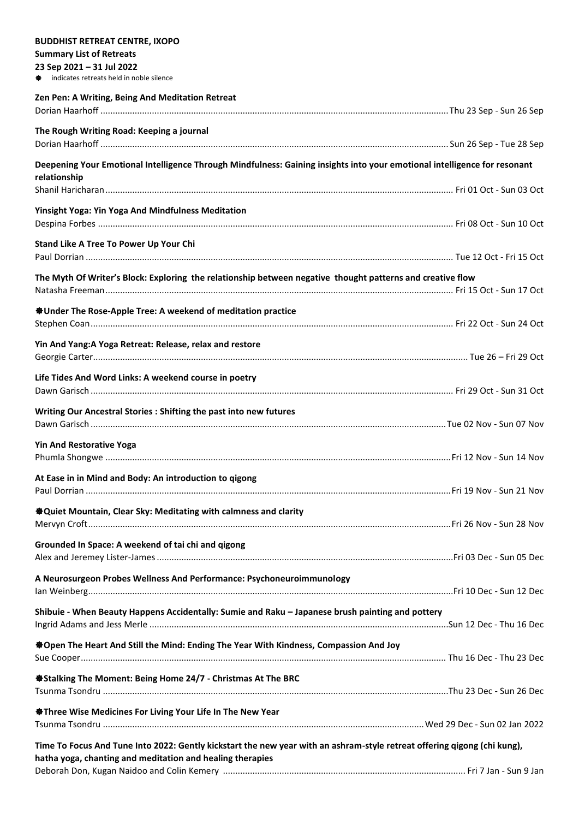| <b>BUDDHIST RETREAT CENTRE, IXOPO</b><br><b>Summary List of Retreats</b>                                                  |  |
|---------------------------------------------------------------------------------------------------------------------------|--|
| 23 Sep 2021 - 31 Jul 2022                                                                                                 |  |
| <b><math>\bigoplus</math></b> indicates retreats held in noble silence                                                    |  |
| Zen Pen: A Writing, Being And Meditation Retreat                                                                          |  |
|                                                                                                                           |  |
|                                                                                                                           |  |
| The Rough Writing Road: Keeping a journal                                                                                 |  |
|                                                                                                                           |  |
| Deepening Your Emotional Intelligence Through Mindfulness: Gaining insights into your emotional intelligence for resonant |  |
| relationship                                                                                                              |  |
|                                                                                                                           |  |
| Yinsight Yoga: Yin Yoga And Mindfulness Meditation                                                                        |  |
|                                                                                                                           |  |
| Stand Like A Tree To Power Up Your Chi                                                                                    |  |
|                                                                                                                           |  |
| The Myth Of Writer's Block: Exploring the relationship between negative thought patterns and creative flow                |  |
|                                                                                                                           |  |
|                                                                                                                           |  |
| <b><math>\triangleq</math>Under The Rose-Apple Tree: A weekend of meditation practice</b>                                 |  |
|                                                                                                                           |  |
| Yin And Yang: A Yoga Retreat: Release, relax and restore                                                                  |  |
|                                                                                                                           |  |
| Life Tides And Word Links: A weekend course in poetry                                                                     |  |
|                                                                                                                           |  |
| Writing Our Ancestral Stories : Shifting the past into new futures                                                        |  |
|                                                                                                                           |  |
|                                                                                                                           |  |
| <b>Yin And Restorative Yoga</b>                                                                                           |  |
|                                                                                                                           |  |
| At Ease in in Mind and Body: An introduction to qigong                                                                    |  |
|                                                                                                                           |  |
| <b><math>\bigcirc</math></b> Quiet Mountain, Clear Sky: Meditating with calmness and clarity                              |  |
|                                                                                                                           |  |
| Grounded In Space: A weekend of tai chi and qigong                                                                        |  |
|                                                                                                                           |  |
|                                                                                                                           |  |
| A Neurosurgeon Probes Wellness And Performance: Psychoneuroimmunology                                                     |  |
|                                                                                                                           |  |
| Shibuie - When Beauty Happens Accidentally: Sumie and Raku - Japanese brush painting and pottery                          |  |
|                                                                                                                           |  |
| ※Open The Heart And Still the Mind: Ending The Year With Kindness, Compassion And Joy                                     |  |
|                                                                                                                           |  |
| <b>Stalking The Moment: Being Home 24/7 - Christmas At The BRC</b>                                                        |  |
|                                                                                                                           |  |
|                                                                                                                           |  |
| <b>Status</b> Three Wise Medicines For Living Your Life In The New Year                                                   |  |
|                                                                                                                           |  |
| Time To Focus And Tune Into 2022: Gently kickstart the new year with an ashram-style retreat offering qigong (chi kung),  |  |
| hatha yoga, chanting and meditation and healing therapies                                                                 |  |
|                                                                                                                           |  |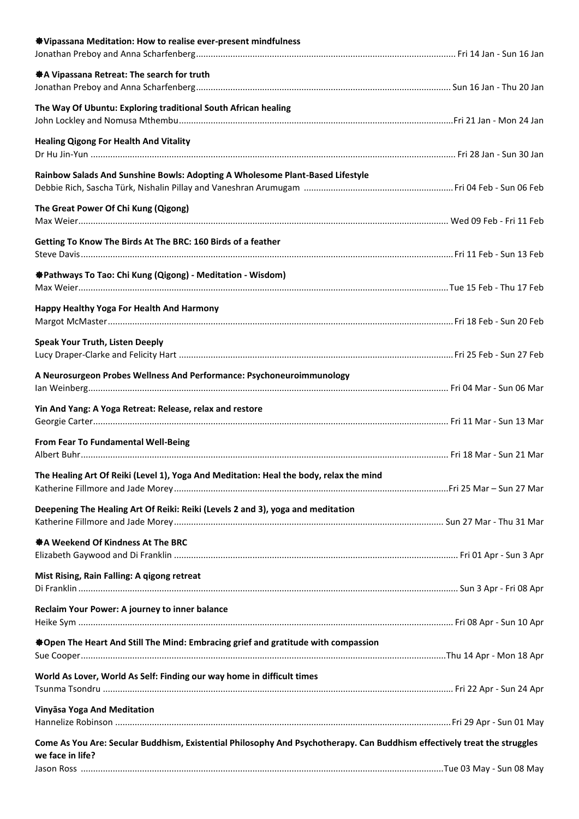| ※ Vipassana Meditation: How to realise ever-present mindfulness                                                           |  |
|---------------------------------------------------------------------------------------------------------------------------|--|
|                                                                                                                           |  |
| ※ A Vipassana Retreat: The search for truth                                                                               |  |
|                                                                                                                           |  |
| The Way Of Ubuntu: Exploring traditional South African healing                                                            |  |
|                                                                                                                           |  |
| <b>Healing Qigong For Health And Vitality</b>                                                                             |  |
|                                                                                                                           |  |
| Rainbow Salads And Sunshine Bowls: Adopting A Wholesome Plant-Based Lifestyle                                             |  |
|                                                                                                                           |  |
| The Great Power Of Chi Kung (Qigong)                                                                                      |  |
|                                                                                                                           |  |
| Getting To Know The Birds At The BRC: 160 Birds of a feather                                                              |  |
|                                                                                                                           |  |
| <b>Stathways To Tao: Chi Kung (Qigong) - Meditation - Wisdom)</b>                                                         |  |
|                                                                                                                           |  |
| Happy Healthy Yoga For Health And Harmony                                                                                 |  |
|                                                                                                                           |  |
| <b>Speak Your Truth, Listen Deeply</b>                                                                                    |  |
|                                                                                                                           |  |
| A Neurosurgeon Probes Wellness And Performance: Psychoneuroimmunology                                                     |  |
|                                                                                                                           |  |
| Yin And Yang: A Yoga Retreat: Release, relax and restore                                                                  |  |
|                                                                                                                           |  |
| From Fear To Fundamental Well-Being                                                                                       |  |
|                                                                                                                           |  |
| The Healing Art Of Reiki (Level 1), Yoga And Meditation: Heal the body, relax the mind                                    |  |
|                                                                                                                           |  |
| Deepening The Healing Art Of Reiki: Reiki (Levels 2 and 3), yoga and meditation                                           |  |
|                                                                                                                           |  |
| ※ A Weekend Of Kindness At The BRC                                                                                        |  |
|                                                                                                                           |  |
| Mist Rising, Rain Falling: A qigong retreat                                                                               |  |
|                                                                                                                           |  |
| Reclaim Your Power: A journey to inner balance                                                                            |  |
|                                                                                                                           |  |
| ※Open The Heart And Still The Mind: Embracing grief and gratitude with compassion                                         |  |
|                                                                                                                           |  |
| World As Lover, World As Self: Finding our way home in difficult times                                                    |  |
|                                                                                                                           |  |
| Vinyāsa Yoga And Meditation                                                                                               |  |
|                                                                                                                           |  |
| Come As You Are: Secular Buddhism, Existential Philosophy And Psychotherapy. Can Buddhism effectively treat the struggles |  |
| we face in life?                                                                                                          |  |
|                                                                                                                           |  |